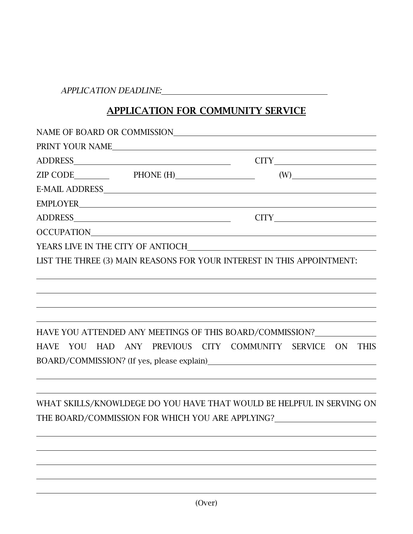*APPLICATION DEADLINE:*

## APPLICATION FOR COMMUNITY SERVICE

| NAME OF BOARD OR COMMISSION                                            |                                                                                                                                                                                                                                                       |  |
|------------------------------------------------------------------------|-------------------------------------------------------------------------------------------------------------------------------------------------------------------------------------------------------------------------------------------------------|--|
| PRINT YOUR NAME                                                        |                                                                                                                                                                                                                                                       |  |
|                                                                        |                                                                                                                                                                                                                                                       |  |
|                                                                        | $(W)$ and $(W)$ and $(W)$ and $(W)$ are $(W)$ and $(W)$ are $(W)$ and $(W)$ are $(W)$ and $(W)$ are $(W)$ and $(W)$ are $(W)$ and $(W)$ are $(W)$ and $(W)$ are $(W)$ and $(W)$ are $(W)$ and $(W)$ are $(W)$ and $(W)$ are $(W)$ and $(W)$ are $(W)$ |  |
|                                                                        |                                                                                                                                                                                                                                                       |  |
|                                                                        |                                                                                                                                                                                                                                                       |  |
|                                                                        |                                                                                                                                                                                                                                                       |  |
| OCCUPATION                                                             |                                                                                                                                                                                                                                                       |  |
|                                                                        |                                                                                                                                                                                                                                                       |  |
| LIST THE THREE (3) MAIN REASONS FOR YOUR INTEREST IN THIS APPOINTMENT: |                                                                                                                                                                                                                                                       |  |
|                                                                        |                                                                                                                                                                                                                                                       |  |
|                                                                        |                                                                                                                                                                                                                                                       |  |
|                                                                        | HAVE YOU ATTENDED ANY MEETINGS OF THIS BOARD/COMMISSION?                                                                                                                                                                                              |  |
| YOU HAD ANY PREVIOUS CITY COMMUNITY SERVICE<br><b>HAVE</b>             | <b>ON</b><br><b>THIS</b><br>BOARD/COMMISSION? (If yes, please explain)<br><u>DOARD</u> /COMMISSION? (If yes, please explain)                                                                                                                          |  |
|                                                                        |                                                                                                                                                                                                                                                       |  |
|                                                                        | WHAT SKILLS/KNOWLDEGE DO YOU HAVE THAT WOULD BE HELPFUL IN SERVING ON                                                                                                                                                                                 |  |
|                                                                        | THE BOARD/COMMISSION FOR WHICH YOU ARE APPLYING?________________________________                                                                                                                                                                      |  |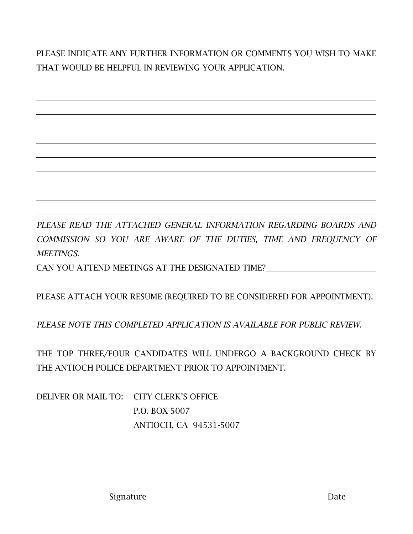PLEASE INDICATE ANY FURTHER INFORMATION OR COMMENTS YOU WISH TO MAKE THAT WOULD BE HELPFUL IN REVIEWING YOUR APPLICATION.

*PLEASE READ THE ATTACHED GENERAL INFORMATION REGARDING BOARDS AND COMMISSION SO YOU ARE AWARE OF THE DUTIES, TIME AND FREQUENCY OF MEETINGS.* CAN YOU ATTEND MEETINGS AT THE DESIGNATED TIME?

PLEASE ATTACH YOUR RESUME (REQUIRED TO BE CONSIDERED FOR APPOINTMENT).

*PLEASE NOTE THIS COMPLETED APPLICATION IS AVAILABLE FOR PUBLIC REVIEW*.

THE TOP THREE/FOUR CANDIDATES WILL UNDERGO A BACKGROUND CHECK BY THE ANTIOCH POLICE DEPARTMENT PRIOR TO APPOINTMENT.

DELIVER OR MAIL TO: CITY CLERK'S OFFICE P.O. BOX 5007 ANTIOCH, CA 94531-5007